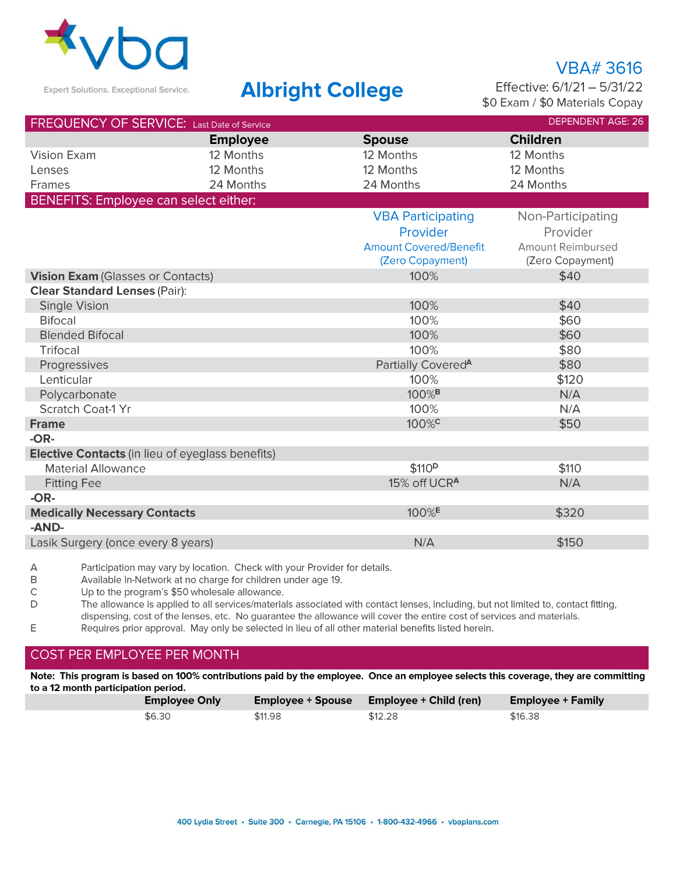

## **Albright College**

**VBA#3616** Effective: 6/1/21 - 5/31/22 \$0 Exam / \$0 Materials Copay

\$150

| <b>DEPENDENT AGE: 26</b><br>FREQUENCY OF SERVICE: Last Date of Service |                 |                                |                          |  |  |
|------------------------------------------------------------------------|-----------------|--------------------------------|--------------------------|--|--|
|                                                                        | <b>Employee</b> | <b>Spouse</b>                  | <b>Children</b>          |  |  |
| Vision Exam                                                            | 12 Months       | 12 Months                      | 12 Months                |  |  |
| Lenses                                                                 | 12 Months       | 12 Months                      | 12 Months                |  |  |
| Frames                                                                 | 24 Months       | 24 Months                      | 24 Months                |  |  |
| BENEFITS: Employee can select either:                                  |                 |                                |                          |  |  |
|                                                                        |                 | <b>VBA Participating</b>       | Non-Participating        |  |  |
|                                                                        |                 | Provider                       | Provider                 |  |  |
|                                                                        |                 | <b>Amount Covered/Benefit</b>  | <b>Amount Reimbursed</b> |  |  |
|                                                                        |                 | (Zero Copayment)               | (Zero Copayment)         |  |  |
| Vision Exam (Glasses or Contacts)                                      |                 | 100%                           | \$40                     |  |  |
| <b>Clear Standard Lenses (Pair):</b>                                   |                 |                                |                          |  |  |
| Single Vision                                                          |                 | 100%                           | \$40                     |  |  |
| <b>Bifocal</b>                                                         |                 | 100%                           | \$60                     |  |  |
| <b>Blended Bifocal</b>                                                 |                 | 100%                           | \$60                     |  |  |
| <b>Trifocal</b>                                                        |                 | 100%                           | \$80                     |  |  |
| Progressives                                                           |                 | Partially Covered <sup>A</sup> | \$80                     |  |  |
| Lenticular                                                             |                 | 100%                           | \$120                    |  |  |
| Polycarbonate                                                          |                 | 100% <sup>B</sup>              | N/A                      |  |  |
| Scratch Coat-1 Yr                                                      |                 | 100%                           | N/A                      |  |  |
| <b>Frame</b>                                                           |                 | 100% <sup>c</sup>              | \$50                     |  |  |
| $-OR-$                                                                 |                 |                                |                          |  |  |
| Elective Contacts (in lieu of eyeglass benefits)                       |                 |                                |                          |  |  |
| <b>Material Allowance</b>                                              |                 | \$110 <sup>p</sup>             | \$110                    |  |  |
| <b>Fitting Fee</b>                                                     |                 | 15% off UCR <sup>A</sup>       | N/A                      |  |  |
| $-OR-$                                                                 |                 |                                |                          |  |  |
| <b>Medically Necessary Contacts</b>                                    |                 | 100% <sup>E</sup>              | \$320                    |  |  |
| -AND-                                                                  |                 |                                |                          |  |  |

Lasik Surgery (once every 8 years)

Participation may vary by location. Check with your Provider for details. Α

 $\mathsf B$ Available In-Network at no charge for children under age 19.

 $\ddot{C}$ Up to the program's \$50 wholesale allowance.

D The allowance is applied to all services/materials associated with contact lenses, including, but not limited to, contact fitting, dispensing, cost of the lenses, etc. No guarantee the allowance will cover the entire cost of services and materials.

 $\mathsf E$ Requires prior approval. May only be selected in lieu of all other material benefits listed herein.

### COST PER EMPLOYEE PER MONTH

Note: This program is based on 100% contributions paid by the employee. Once an employee selects this coverage, they are committing to a 12 month participation period.

| <b>Employee Only</b> | Employee + Spouse | <b>Employee + Child (ren)</b> | Employee + Family |
|----------------------|-------------------|-------------------------------|-------------------|
| \$6.30               | \$11.98           | \$12.28                       | \$16.38           |

 $N/A$